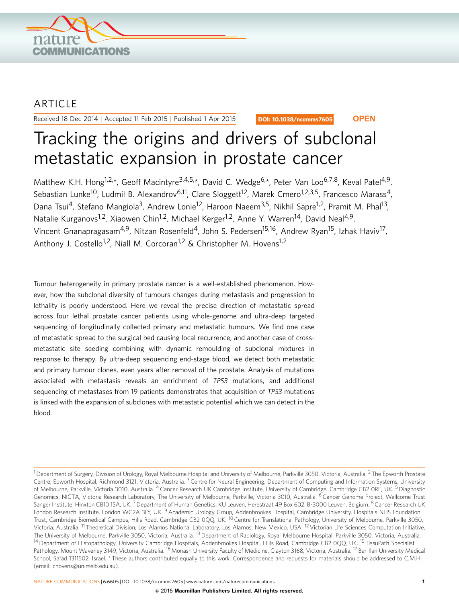

## ARTICLE

Received 18 Dec 2014 | Accepted 11 Feb 2015 | Published 1 Apr 2015

DOI: 10.1038/ncomms7605 **OPEN**

# Tracking the origins and drivers of subclonal metastatic expansion in prostate cancer

Matthew K.H. Hong<sup>1,2,\*</sup>, Geoff Macintyre<sup>3,4,5,\*</sup>, David C. Wedge<sup>6,\*</sup>, Peter Van Loo<sup>6,7,8</sup>, Keval Patel<sup>4,9</sup>, Sebastian Lunke<sup>10</sup>, Ludmil B. Alexandrov<sup>6,11</sup>, Clare Sloggett<sup>12</sup>, Marek Cmero<sup>1,2,3,5</sup>, Francesco Marass<sup>4</sup>, Dana Tsui<sup>4</sup>, Stefano Mangiola<sup>3</sup>, Andrew Lonie<sup>12</sup>, Haroon Naeem<sup>3,5</sup>, Nikhil Sapre<sup>1,2</sup>, Pramit M. Phal<sup>13</sup>, Natalie Kurganovs<sup>1,2</sup>, Xiaowen Chin<sup>1,2</sup>, Michael Kerger<sup>1,2</sup>, Anne Y. Warren<sup>14</sup>, David Neal<sup>4,9</sup>, Vincent Gnanapragasam<sup>4,9</sup>, Nitzan Rosenfeld<sup>4</sup>, John S. Pedersen<sup>15,16</sup>, Andrew Ryan<sup>15</sup>, Izhak Haviv<sup>17</sup>, Anthony J. Costello<sup>1,2</sup>, Niall M. Corcoran<sup>1,2</sup> & Christopher M. Hovens<sup>1,2</sup>

Tumour heterogeneity in primary prostate cancer is a well-established phenomenon. However, how the subclonal diversity of tumours changes during metastasis and progression to lethality is poorly understood. Here we reveal the precise direction of metastatic spread across four lethal prostate cancer patients using whole-genome and ultra-deep targeted sequencing of longitudinally collected primary and metastatic tumours. We find one case of metastatic spread to the surgical bed causing local recurrence, and another case of crossmetastatic site seeding combining with dynamic remoulding of subclonal mixtures in response to therapy. By ultra-deep sequencing end-stage blood, we detect both metastatic and primary tumour clones, even years after removal of the prostate. Analysis of mutations associated with metastasis reveals an enrichment of TP53 mutations, and additional sequencing of metastases from 19 patients demonstrates that acquisition of TP53 mutations is linked with the expansion of subclones with metastatic potential which we can detect in the blood.

<sup>&</sup>lt;sup>1</sup> Department of Surgery, Division of Urology, Royal Melbourne Hospital and University of Melbourne, Parkville 3050, Victoria, Australia. <sup>2</sup> The Epworth Prostate Centre, Epworth Hospital, Richmond 3121, Victoria, Australia. <sup>3</sup> Centre for Neural Engineering, Department of Computing and Information Systems, University of Melbourne, Parkville, Victoria 3010, Australia. <sup>4</sup> Cancer Research UK Cambridge Institute, University of Cambridge, Cambridge CB2 ORE, UK. <sup>5</sup> Diagnostic Genomics, NICTA, Victoria Research Laboratory, The University of Melbourne, Parkville, Victoria 3010, Australia. <sup>6</sup> Cancer Genome Project, Wellcome Trust Sanger Institute, Hinxton CB10 1SA, UK.<sup>7</sup> Department of Human Genetics, KU Leuven, Herestraat 49 Box 602, B-3000 Leuven, Belgium. <sup>8</sup> Cancer Research UK London Research Institute, London WC2A 3LY, UK. <sup>9</sup> Academic Urology Group, Addenbrookes Hospital, Cambridge University, Hospitals NHS Foundation Trust, Cambridge Biomedical Campus, Hills Road, Cambridge CB2 0QQ, UK. <sup>10</sup> Centre for Translational Pathology, University of Melbourne, Parkville 3050, Victoria, Australia. <sup>11</sup> Theoretical Division, Los Alamos National Laboratory, Los Alamos, New Mexico, USA. 12Victorian Life Sciences Computation Initiative, The University of Melbourne, Parkville 3050, Victoria, Australia. <sup>13</sup> Department of Radiology, Royal Melbourne Hospital, Parkville 3050, Victoria, Australia. <sup>14</sup> Department of Histopathology, University Cambridge Hospitals, Addenbrookes Hospital, Hills Road, Cambridge CB2 0QQ, UK. <sup>15</sup> TissuPath Specialist Pathology, Mount Waverley 3149, Victoria, Australia. <sup>16</sup> Monash University Faculty of Medicine, Clayton 3168, Victoria, Australia. <sup>17</sup> Bar-Ilan University Medical School, Safad 1311502, Israel. \* These authors contributed equally to this work. Correspondence and requests for materials should be addressed to C.M.H. (email: [chovens@unimelb.edu.au\)](mailto:chovens@unimelb.edu.au).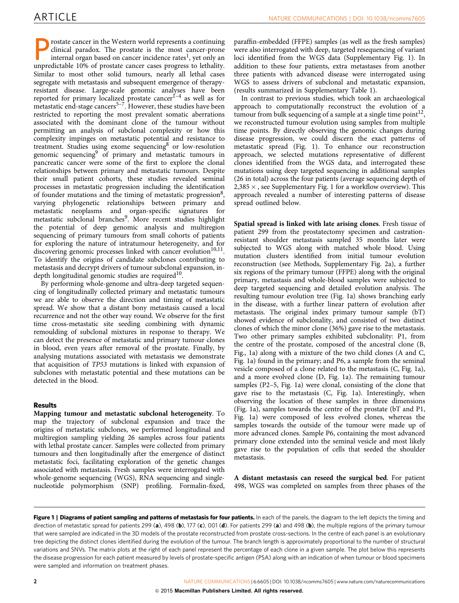<span id="page-1-0"></span>rostate cancer in the Western world represents a continuing clinical paradox. The prostate is the most cancer-prone internal organ based on cancer incidence rates<sup>[1](#page-9-0)</sup>, yet only an unpredictable 10% of prostate cancer cases progress to lethality. Similar to most other solid tumours, nearly all lethal cases segregate with metastasis and subsequent emergence of therapyresistant disease. Large-scale genomic analyses have been reported for primary localized prostate cancer<sup>1-4</sup> as well as for metastatic end-stage cancers<sup>5-7</sup>. However, these studies have been restricted to reporting the most prevalent somatic aberrations associated with the dominant clone of the tumour without permitting an analysis of subclonal complexity or how this complexity impinges on metastatic potential and resistance to treatment. Studies using exome sequencing $8$  or low-resolution genomic sequencing<sup>[9](#page-10-0)</sup> of primary and metastatic tumours in pancreatic cancer were some of the first to explore the clonal relationships between primary and metastatic tumours. Despite their small patient cohorts, these studies revealed seminal processes in metastatic progression including the identification of founder mutations and the timing of metastatic progression<sup>8</sup>, varying phylogenetic relationships between primary and metastatic neoplasms and organ-specific signatures for metastatic subclonal branches<sup>[9](#page-10-0)</sup>. More recent studies highlight the potential of deep genomic analysis and multiregion sequencing of primary tumours from small cohorts of patients for exploring the nature of intratumour heterogeneity, and for discovering genomic processes linked with cancer evolution<sup>10,11</sup>. To identify the origins of candidate subclones contributing to metastasis and decrypt drivers of tumour subclonal expansion, indepth longitudinal genomic studies are required<sup>10</sup>.

By performing whole-genome and ultra-deep targeted sequencing of longitudinally collected primary and metastatic tumours we are able to observe the direction and timing of metastatic spread. We show that a distant bony metastasis caused a local recurrence and not the other way round. We observe for the first time cross-metastatic site seeding combining with dynamic remoulding of subclonal mixtures in response to therapy. We can detect the presence of metastatic and primary tumour clones in blood, even years after removal of the prostate. Finally, by analysing mutations associated with metastasis we demonstrate that acquisition of TP53 mutations is linked with expansion of subclones with metastatic potential and these mutations can be detected in the blood.

### Results

Mapping tumour and metastatic subclonal heterogeneity. To map the trajectory of subclonal expansion and trace the origins of metastatic subclones, we performed longitudinal and multiregion sampling yielding 26 samples across four patients with lethal prostate cancer. Samples were collected from primary tumours and then longitudinally after the emergence of distinct metastatic foci, facilitating exploration of the genetic changes associated with metastasis. Fresh samples were interrogated with whole-genome sequencing (WGS), RNA sequencing and singlenucleotide polymorphism (SNP) profiling. Formalin-fixed,

paraffin-embedded (FFPE) samples (as well as the fresh samples) were also interrogated with deep, targeted resequencing of variant loci identified from the WGS data (Supplementary Fig. 1). In addition to these four patients, extra metastases from another three patients with advanced disease were interrogated using WGS to assess drivers of subclonal and metastatic expansion, (results summarized in Supplementary Table 1).

In contrast to previous studies, which took an archaeological approach to computationally reconstruct the evolution of a tumour from bulk sequencing of a sample at a single time point<sup>12</sup>, we reconstructed tumour evolution using samples from multiple time points. By directly observing the genomic changes during disease progression, we could discern the exact patterns of metastatic spread (Fig. 1). To enhance our reconstruction approach, we selected mutations representative of different clones identified from the WGS data, and interrogated these mutations using deep targeted sequencing in additional samples (26 in total) across the four patients (average sequencing depth of  $2,385 \times$  , see Supplementary Fig. 1 for a workflow overview). This approach revealed a number of interesting patterns of disease spread outlined below.

Spatial spread is linked with late arising clones. Fresh tissue of patient 299 from the prostatectomy specimen and castrationresistant shoulder metastasis sampled 35 months later were subjected to WGS along with matched whole blood. Using mutation clusters identified from initial tumour evolution reconstruction (see Methods, Supplementary Fig. 2a), a further six regions of the primary tumour (FFPE) along with the original primary, metastasis and whole-blood samples were subjected to deep targeted sequencing and detailed evolution analysis. The resulting tumour evolution tree (Fig. 1a) shows branching early in the disease, with a further linear pattern of evolution after metastasis. The original index primary tumour sample (bT) showed evidence of subclonality, and consisted of two distinct clones of which the minor clone (36%) gave rise to the metastasis. Two other primary samples exhibited subclonality: P1, from the centre of the prostate, composed of the ancestral clone (B, Fig., 1a) along with a mixture of the two child clones (A and C, Fig. 1a) found in the primary; and P6, a sample from the seminal vesicle composed of a clone related to the metastasis (C, Fig. 1a), and a more evolved clone (D, Fig. 1a). The remaining tumour samples (P2–5, Fig. 1a) were clonal, consisting of the clone that gave rise to the metastasis (C, Fig. 1a). Interestingly, when observing the location of these samples in three dimensions (Fig. 1a), samples towards the centre of the prostate (bT and P1, Fig. 1a) were composed of less evolved clones, whereas the samples towards the outside of the tumour were made up of more advanced clones. Sample P6, containing the most advanced primary clone extended into the seminal vesicle and most likely gave rise to the population of cells that seeded the shoulder metastasis.

A distant metastasis can reseed the surgical bed. For patient 498, WGS was completed on samples from three phases of the

Figure 1 | Diagrams of patient sampling and patterns of metastasis for four patients. In each of the panels, the diagram to the left depicts the timing and direction of metastatic spread for patients 299 (a), 498 (b), 177 (c), 001 (d). For patients 299 (a) and 498 (b), the multiple regions of the primary tumour that were sampled are indicated in the 3D models of the prostate reconstructed from prostate cross-sections. In the centre of each panel is an evolutionary tree depicting the distinct clones identified during the evolution of the tumour. The branch length is approximately proportional to the number of structural variations and SNVs. The matrix plots at the right of each panel represent the percentage of each clone in a given sample. The plot below this represents the disease progression for each patient measured by levels of prostate-specific antigen (PSA) along with an indication of when tumour or blood specimens were sampled and information on treatment phases.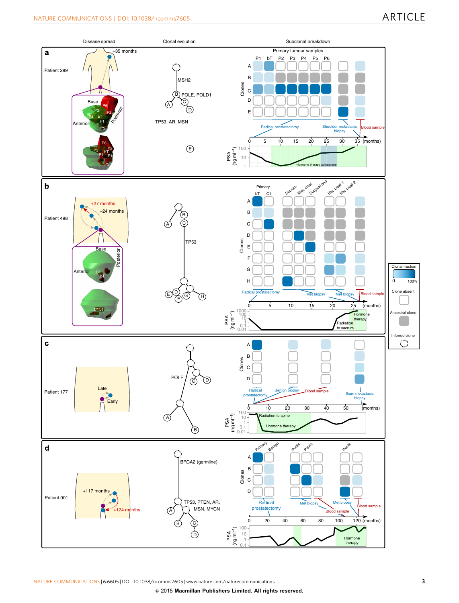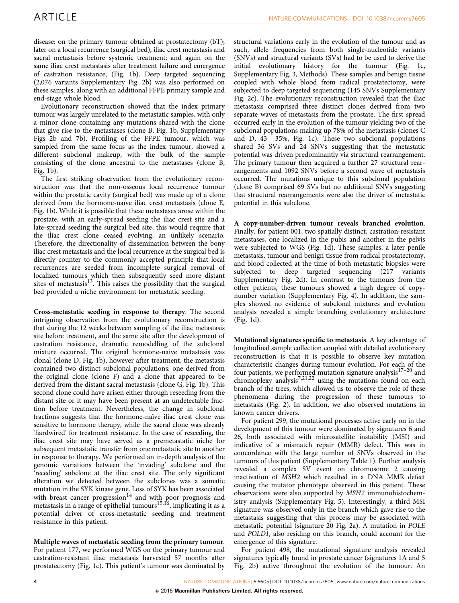disease: on the primary tumour obtained at prostatectomy (bT); later on a local recurrence (surgical bed), iliac crest metastasis and sacral metastasis before systemic treatment; and again on the same iliac crest metastasis after treatment failure and emergence of castration resistance, ([Fig. 1b\)](#page-1-0). Deep targeted sequencing (2,076 variants Supplementary Fig. 2b) was also performed on these samples, along with an additional FFPE primary sample and end-stage whole blood.

Evolutionary reconstruction showed that the index primary tumour was largely unrelated to the metastatic samples, with only a minor clone containing any mutations shared with the clone that give rise to the metastases (clone B, [Fig. 1b](#page-1-0), Supplementary Figs 2b and 7b). Profiling of the FFPE tumour, which was sampled from the same focus as the index tumour, showed a different subclonal makeup, with the bulk of the sample consisting of the clone ancestral to the metastases (clone B, [Fig. 1b\)](#page-1-0).

The first striking observation from the evolutionary reconstruction was that the non-osseous local recurrence tumour within the prostatic cavity (surgical bed) was made up of a clone derived from the hormone-naïve iliac crest metastasis (clone E, [Fig. 1b\)](#page-1-0). While it is possible that these metastases arose within the prostate, with an early-spread seeding the iliac crest site and a late-spread seeding the surgical bed site, this would require that the iliac crest clone ceased evolving, an unlikely scenario. Therefore, the directionality of dissemination between the bony iliac crest metastasis and the local recurrence at the surgical bed is directly counter to the commonly accepted principle that local recurrences are seeded from incomplete surgical removal of localized tumours which then subsequently seed more distant sites of metastasis $13$ . This raises the possibility that the surgical bed provided a niche environment for metastatic seeding.

Cross-metastatic seeding in response to therapy. The second intriguing observation from the evolutionary reconstruction is that during the 12 weeks between sampling of the iliac metastasis site before treatment, and the same site after the development of castration resistance, dramatic remodelling of the subclonal mixture occurred. The original hormone-naive metastasis was clonal (clone D, [Fig. 1b](#page-1-0)), however after treatment, the metastasis contained two distinct subclonal populations: one derived from the original clone (clone F) and a clone that appeared to be derived from the distant sacral metastasis (clone G, [Fig. 1b\)](#page-1-0). This second clone could have arisen either through reseeding from the distant site or it may have been present at an undetectable fraction before treatment. Nevertheless, the change in subclonal fractions suggests that the hormone-naïve iliac crest clone was sensitive to hormone therapy, while the sacral clone was already 'hardwired' for treatment resistance. In the case of reseeding, the iliac crest site may have served as a premetastatic niche for subsequent metastatic transfer from one metastatic site to another in response to therapy. We performed an in-depth analysis of the genomic variations between the 'invading' subclone and the 'receding' subclone at the iliac crest site. The only significant alteration we detected between the subclones was a somatic mutation in the SYK kinase gene. Loss of SYK has been associated with breast cancer progression $14$  and with poor prognosis and metastasis in a range of epithelial tumours $15,16$ , implicating it as a potential driver of cross-metastatic seeding and treatment resistance in this patient.

Multiple waves of metastatic seeding from the primary tumour. For patient 177, we performed WGS on the primary tumour and castration-resistant iliac metastasis harvested 57 months after prostatectomy ([Fig. 1c\)](#page-1-0). This patient's tumour was dominated by structural variations early in the evolution of the tumour and as such, allele frequencies from both single-nucleotide variants (SNVs) and structural variants (SVs) had to be used to derive the initial evolutionary history for the tumour ([Fig. 1c,](#page-1-0) Supplementary Fig. 3, Methods). These samples and benign tissue coupled with whole blood from radical prostatectomy, were subjected to deep targeted sequencing (145 SNVs Supplementary Fig. 2c). The evolutionary reconstruction revealed that the iliac metastasis comprised three distinct clones derived from two separate waves of metastasis from the prostate. The first spread occurred early in the evolution of the tumour yielding two of the subclonal populations making up 78% of the metastasis (clones C and D,  $43 + 35\%$ , [Fig. 1c](#page-1-0)). These two subclonal populations shared 36 SVs and 24 SNVs suggesting that the metastatic potential was driven predominantly via structural rearrangement. The primary tumour then acquired a further 27 structural rearrangements and 1092 SNVs before a second wave of metastasis occurred. The mutations unique to this subclonal population (clone B) comprised 69 SVs but no additional SNVs suggesting that structural rearrangements were also the driver of metastatic potential in this subclone.

A copy-number-driven tumour reveals branched evolution. Finally, for patient 001, two spatially distinct, castration-resistant metastases, one localized in the pubis and another in the pelvis were subjected to WGS ([Fig. 1d\)](#page-1-0). These samples, a later penile metastasis, tumour and benign tissue from radical prostatectomy, and blood collected at the time of both metastatic biopsies were subjected to deep targeted sequencing (217 variants Supplementary Fig. 2d). In contrast to the tumours from the other patients, these tumours showed a high degree of copynumber variation (Supplementary Fig. 4). In addition, the samples showed no evidence of subclonal mixtures and evolution analysis revealed a simple branching evolutionary architecture ([Fig. 1d](#page-1-0)).

Mutational signatures specific to metastasis. A key advantage of longitudinal sample collection coupled with detailed evolutionary reconstruction is that it is possible to observe key mutation characteristic changes during tumour evolution. For each of the four patients, we performed mutation signature analysis<sup>17-20</sup> and chromoplexy analysis<sup>[7,21,22](#page-9-0)</sup> using the mutations found on each branch of the trees, which allowed us to observe the role of these phenomena during the progression of these tumours to metastasis [\(Fig. 2\)](#page-4-0). In addition, we also observed mutations in known cancer drivers.

For patient 299, the mutational processes active early on in the development of this tumour were dominated by signatures 6 and 26, both associated with microsatellite instability (MSI) and indicative of a mismatch repair (MMR) defect. This was in concordance with the large number of SNVs observed in the tumours of this patient (Supplementary Table 1). Further analysis revealed a complex SV event on chromosome 2 causing inactivation of MSH2 which resulted in a DNA MMR defect causing the mutator phenotype observed in this patient. These observations were also supported by MSH2 immunohistochemistry analysis (Supplementary Fig. 5). Interestingly, a third MSI signature was observed only in the branch which gave rise to the metastasis suggesting that this process may be associated with metastatic potential (signature 20 [Fig. 2a\)](#page-4-0). A mutation in POLE and POLD1, also residing on this branch, could account for the emergence of this signature.

For patient 498, the mutational signature analysis revealed signatures typically found in prostate cancer (signatures 1A and 5 [Fig. 2b](#page-4-0)) active throughout the evolution of the tumour. An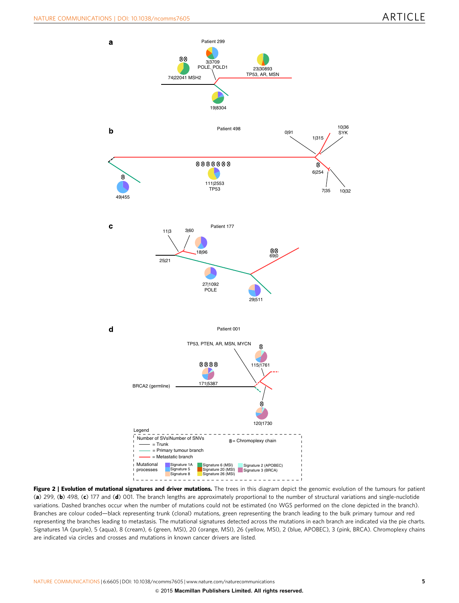<span id="page-4-0"></span>

Figure 2 | Evolution of mutational signatures and driver mutations. The trees in this diagram depict the genomic evolution of the tumours for patient (a) 299, (b) 498, (c) 177 and (d) 001. The branch lengths are approximately proportional to the number of structural variations and single-nuclotide variations. Dashed branches occur when the number of mutations could not be estimated (no WGS performed on the clone depicted in the branch). Branches are colour coded—black representing trunk (clonal) mutations, green representing the branch leading to the bulk primary tumour and red representing the branches leading to metastasis. The mutational signatures detected across the mutations in each branch are indicated via the pie charts. Signatures 1A (purple), 5 (aqua), 8 (cream), 6 (green, MSI), 20 (orange, MSI), 26 (yellow, MSI), 2 (blue, APOBEC), 3 (pink, BRCA). Chromoplexy chains are indicated via circles and crosses and mutations in known cancer drivers are listed.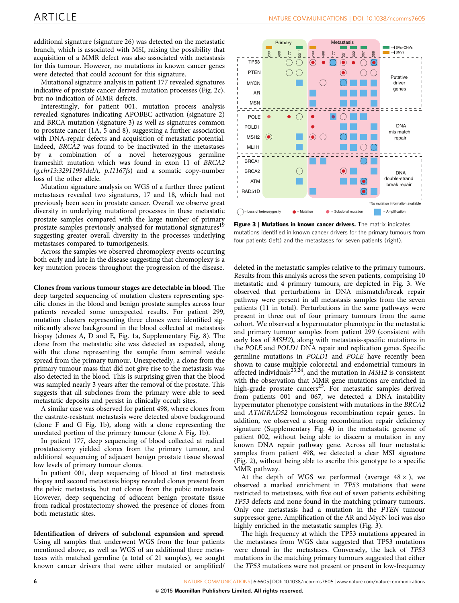additional signature (signature 26) was detected on the metastatic branch, which is associated with MSI, raising the possibility that acquisition of a MMR defect was also associated with metastasis for this tumour. However, no mutations in known cancer genes were detected that could account for this signature.

Mutational signature analysis in patient 177 revealed signatures indicative of prostate cancer derived mutation processes ([Fig. 2c](#page-4-0)), but no indication of MMR defects.

Interestingly, for patient 001, mutation process analysis revealed signatures indicating APOBEC activation (signature 2) and BRCA mutation (signature 3) as well as signatures common to prostate cancer (1A, 5 and 8), suggesting a further association with DNA-repair defects and acquisition of metastatic potential. Indeed, BRCA2 was found to be inactivated in the metastases by a combination of a novel heterozygous germline frameshift mutation which was found in exon 11 of BRCA2 (g.chr13:32911991delA, p.I1167fs) and a somatic copy-number loss of the other allele.

Mutation signature analysis on WGS of a further three patient metastases revealed two signatures, 17 and 18, which had not previously been seen in prostate cancer. Overall we observe great diversity in underlying mutational processes in these metastatic prostate samples compared with the large number of primary prostate samples previously analysed for mutational signatures<sup>19</sup> suggesting greater overall diversity in the processes underlying metastases compared to tumorigenesis.

Across the samples we observed chromoplexy events occurring both early and late in the disease suggesting that chromoplexy is a key mutation process throughout the progression of the disease.

Clones from various tumour stages are detectable in blood. The deep targeted sequencing of mutation clusters representing specific clones in the blood and benign prostate samples across four patients revealed some unexpected results. For patient 299, mutation clusters representing three clones were identified significantly above background in the blood collected at metastasis biopsy (clones A, D and E, [Fig. 1a,](#page-1-0) Supplementary Fig. 8). The clone from the metastatic site was detected as expected, along with the clone representing the sample from seminal vesicle spread from the primary tumour. Unexpectedly, a clone from the primary tumour mass that did not give rise to the metastasis was also detected in the blood. This is surprising given that the blood was sampled nearly 3 years after the removal of the prostate. This suggests that all subclones from the primary were able to seed metastatic deposits and persist in clinically occult sites.

A similar case was observed for patient 498, where clones from the castrate-resistant metastasis were detected above background (clone F and G [Fig. 1b\)](#page-1-0), along with a clone representing the unrelated portion of the primary tumour (clone A [Fig. 1b](#page-1-0)).

In patient 177, deep sequencing of blood collected at radical prostatectomy yielded clones from the primary tumour, and additional sequencing of adjacent benign prostate tissue showed low levels of primary tumour clones.

In patient 001, deep sequencing of blood at first metastasis biopsy and second metastasis biopsy revealed clones present from the pelvic metastasis, but not clones from the pubic metastasis. However, deep sequencing of adjacent benign prostate tissue from radical prostatectomy showed the presence of clones from both metastatic sites.

Identification of drivers of subclonal expansion and spread. Using all samples that underwent WGS from the four patients mentioned above, as well as WGS of an additional three metastases with matched germline (a total of 21 samples), we sought known cancer drivers that were either mutated or amplified/



Figure 3 | Mutations in known cancer drivers. The matrix indicates mutations identified in known cancer drivers for the primary tumours from four patients (left) and the metastases for seven patients (right).

deleted in the metastatic samples relative to the primary tumours. Results from this analysis across the seven patients, comprising 10 metastatic and 4 primary tumours, are depicted in Fig. 3. We observed that perturbations in DNA mismatch/break repair pathway were present in all metastasis samples from the seven patients (11 in total). Perturbations in the same pathways were present in three out of four primary tumours from the same cohort. We observed a hypermutator phenotype in the metastatic and primary tumour samples from patient 299 (consistent with early loss of MSH2), along with metastasis-specific mutations in the POLE and POLD1 DNA repair and replication genes. Specific germline mutations in POLD1 and POLE have recently been shown to cause multiple colorectal and endometrial tumours in affected individuals<sup>23,24</sup>, and the mutation in  $MSH2$  is consistent with the observation that MMR gene mutations are enriched in high-grade prostate cancers<sup>[25](#page-10-0)</sup>. For metastatic samples derived from patients 001 and 067, we detected a DNA instability hypermutator phenotype consistent with mutations in the BRCA2 and ATM/RAD52 homologous recombination repair genes. In addition, we observed a strong recombination repair deficiency signature (Supplementary Fig. 4) in the metastatic genome of patient 002, without being able to discern a mutation in any known DNA repair pathway gene. Across all four metastatic samples from patient 498, we detected a clear MSI signature ([Fig. 2](#page-4-0)), without being able to ascribe this genotype to a specific MMR pathway.

At the depth of WGS we performed (average  $48 \times$ ), we observed a marked enrichment in TP53 mutations that were restricted to metastases, with five out of seven patients exhibiting TP53 defects and none found in the matching primary tumours. Only one metastasis had a mutation in the PTEN tumour suppressor gene. Amplification of the AR and MycN loci was also highly enriched in the metastatic samples (Fig. 3).

The high frequency at which the TP53 mutations appeared in the metastases from WGS data suggested that TP53 mutations were clonal in the metastases. Conversely, the lack of TP53 mutations in the matching primary tumours suggested that either the TP53 mutations were not present or present in low-frequency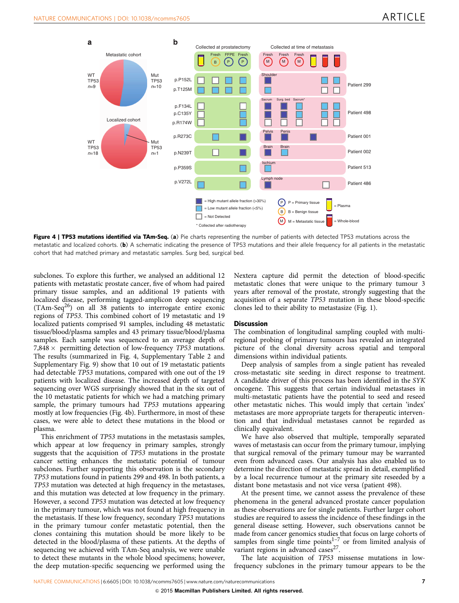

Figure 4 | TP53 mutations identified via TAm-Seq. (a) Pie charts representing the number of patients with detected TP53 mutations across the metastatic and localized cohorts. (b) A schematic indicating the presence of TP53 mutations and their allele frequency for all patients in the metastatic cohort that had matched primary and metastatic samples. Surg bed, surgical bed.

subclones. To explore this further, we analysed an additional 12 patients with metastatic prostate cancer, five of whom had paired primary tissue samples, and an additional 19 patients with localized disease, performing tagged-amplicon deep sequencing  $(TAm-Seq<sup>26</sup>)$  on all 38 patients to interrogate entire exonic regions of TP53. This combined cohort of 19 metastatic and 19 localized patients comprised 91 samples, including 48 metastatic tissue/blood/plasma samples and 43 primary tissue/blood/plasma samples. Each sample was sequenced to an average depth of 7,848  $\times$  permitting detection of low-frequency TP53 mutations. The results (summarized in Fig. 4, Supplementary Table 2 and Supplementary Fig. 9) show that 10 out of 19 metastatic patients had detectable TP53 mutations, compared with one out of the 19 patients with localized disease. The increased depth of targeted sequencing over WGS surprisingly showed that in the six out of the 10 metastatic patients for which we had a matching primary sample, the primary tumours had TP53 mutations appearing mostly at low frequencies (Fig. 4b). Furthermore, in most of these cases, we were able to detect these mutations in the blood or plasma.

This enrichment of TP53 mutations in the metastasis samples, which appear at low frequency in primary samples, strongly suggests that the acquisition of TP53 mutations in the prostate cancer setting enhances the metastatic potential of tumour subclones. Further supporting this observation is the secondary TP53 mutations found in patients 299 and 498. In both patients, a TP53 mutation was detected at high frequency in the metastases, and this mutation was detected at low frequency in the primary. However, a second TP53 mutation was detected at low frequency in the primary tumour, which was not found at high frequency in the metastasis. If these low frequency, secondary TP53 mutations in the primary tumour confer metastatic potential, then the clones containing this mutation should be more likely to be detected in the blood/plasma of these patients. At the depths of sequencing we achieved with TAm-Seq analysis, we were unable to detect these mutants in the whole blood specimens; however, the deep mutation-specific sequencing we performed using the Nextera capture did permit the detection of blood-specific metastatic clones that were unique to the primary tumour 3 years after removal of the prostate, strongly suggesting that the acquisition of a separate TP53 mutation in these blood-specific clones led to their ability to metastasize ([Fig. 1](#page-1-0)).

### **Discussion**

The combination of longitudinal sampling coupled with multiregional probing of primary tumours has revealed an integrated picture of the clonal diversity across spatial and temporal dimensions within individual patients.

Deep analysis of samples from a single patient has revealed cross-metastatic site seeding in direct response to treatment. A candidate driver of this process has been identified in the SYK oncogene. This suggests that certain individual metastases in multi-metastatic patients have the potential to seed and reseed other metastatic niches. This would imply that certain 'index' metastases are more appropriate targets for therapeutic intervention and that individual metastases cannot be regarded as clinically equivalent.

We have also observed that multiple, temporally separated waves of metastasis can occur from the primary tumour, implying that surgical removal of the primary tumour may be warranted even from advanced cases. Our analysis has also enabled us to determine the direction of metastatic spread in detail, exemplified by a local recurrence tumour at the primary site reseeded by a distant bone metastasis and not vice versa (patient 498).

At the present time, we cannot assess the prevalence of these phenomena in the general advanced prostate cancer population as these observations are for single patients. Further larger cohort studies are required to assess the incidence of these findings in the general disease setting. However, such observations cannot be made from cancer genomics studies that focus on large cohorts of samples from single time points $1-7$  or from limited analysis of variant regions in advanced cases<sup>[27](#page-10-0)</sup>.

The late acquisition of TP53 missense mutations in lowfrequency subclones in the primary tumour appears to be the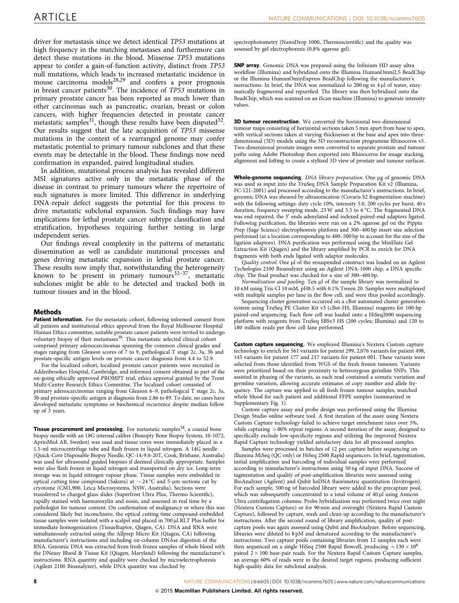driver for metastasis since we detect identical TP53 mutations at high frequency in the matching metastases and furthermore can detect these mutations in the blood. Missense TP53 mutations appear to confer a gain-of-function activity, distinct from TP53 null mutations, which leads to increased metastatic incidence in mouse carcinoma models $28,29$  and confers a poor prognosis in breast cancer patients<sup>30</sup>. The incidence of  $TP53$  mutations in primary prostate cancer has been reported as much lower than other carcinomas such as pancreatic, ovarian, breast or colon cancers, with higher frequencies detected in prostate cancer metastatic samples<sup>31</sup>, though these results have been disputed<sup>32</sup>. Our results suggest that the late acquisition of TP53 missense mutations in the context of a rearranged genome may confer metastatic potential to primary tumour subclones and that these events may be detectable in the blood. These findings now need confirmation in expanded, paired longitudinal studies.

In addition, mutational process analysis has revealed different MSI signatures active only in the metastatic phase of the disease in contrast to primary tumours where the repertoire of such signatures is more limited. This difference in underlying DNA-repair defect suggests the potential for this process to drive metastatic subclonal expansion. Such findings may have implications for lethal prostate cancer subtype classification and stratification, hypotheses requiring further testing in large independent series.

Our findings reveal complexity in the patterns of metastatic dissemination as well as candidate mutational processes and genes driving metastatic expansion in lethal prostate cancer. These results now imply that, notwithstanding the heterogeneity known to be present in primary tumours $32-37$ , metastatic subclones might be able to be detected and tracked both in tumour tissues and in the blood.

#### Methods

Patient information. For the metastatic cohort, following informed consent from all patients and institutional ethics approval from the Royal Melbourne Hospital Human Ethics committee, suitable prostate cancer patients were invited to undergo voluntary biopsy of their metastases<sup>38</sup>. This metastatic selected clinical cohort comprised primary adenocarcinomas spanning the common clinical grades and stages ranging from Gleason scores of 7 to 9, pathological T stage 2c, 3a, 3b and prostate-specific antigen levels on prostate cancer diagnosis from 4.4 to 52.9.

For the localized cohort, localized prostate cancer patients were recruited in Addenbrookes Hospital, Cambridge, and informed consent obtained as part of the on-going ethically approved PROMPT trial, ethics approval granted by the Trent Multi-Centre Research Ethics Committee. The localized cohort consisted of primary adenocarcinomas ranging from Gleason 6–9, pathological T stage 2c, 3a, 3b and prostate-specific antigen at diagnosis from 2.86 to 89. To date, no cases have developed metastatic symptoms or biochemical recurrence despite median follow up of 3 years.

Tissue procurement and processing. For metastatic samples<sup>38</sup>, a coaxial bone biopsy needle with an 18G internal calibre (Bonopty Bone Biopsy System, 10-1072, AprioMed AB, Sweden) was used and tissue cores were immediately placed in a 1.5-ml microcentrifuge tube and flash frozen in liquid nitrogen. A 14G needle (Quick-Core Disposable Biopsy Needle, QC-14-9.0-20T, Cook, Brisbane, Australia) was used for ultrasound guided biopsies if deemed clinically appropriate. Samples were also flash frozen in liquid nitrogen and transported on dry ice. Long-term storage was in liquid nitrogen vapour phase. Tissue samples were embedded in optical cutting time compound (Sakura) at  $-24$  °C and 5-µm sections cut by cryotome (CM1,900, Leica Microsystems, NSW, Australia). Sections were transferred to charged glass slides (Superfrost Ultra Plus, Thermo Scientific), rapidly stained with haematoxylin and eosin, and assessed in real time by a pathologist for tumour content. On confirmation of malignancy or where this was considered likely but inconclusive, the optical cutting time compound-embedded tissue samples were isolated with a scalpel and placed in 700 µl RLT Plus buffer for immediate homogenization (TissueRuptor, Qiagen, CA). DNA and RNA were simultaneously extracted using the Allprep Micro Kit (Qiagen, CA) following manufacturer's instructions and including on-column DNAse digestion of the RNA. Genomic DNA was extracted from fresh frozen samples of whole blood with the DNeasy Blood & Tissue Kit (Qiagen, Maryland) following the manufacturer's instructions. RNA quantity and quality were checked by microelectrophoresis (Agilent 2100 Bioanalyzer), while DNA quantity was checked by

spectrophotometry (NanoDrop 1000, Thermoscientific) and the quality was assessed by gel electrophoresis (0.8% agarose gel).

SNP array. Genomic DNA was prepared using the Infinium HD assay ultra workflow (Illumina) and hybridized onto the Illumina HumanOmni2.5 BeadChip or the Illumina HumanOminExpress BeadChip following the manufacturer's instructions. In brief, the DNA was normalized to 200 ng in  $4 \mu$ l of water, enzymatically fragmented and repurified. The library was then hybridized onto the BeadChip, which was scanned on an iScan machine (Illumina) to generate intensity values.

**3D tumour reconstruction.** We converted the horizontal two-dimensional tumour maps consisting of horizontal sections taken 5 mm apart from base to apex, with vertical sections taken at varying thicknesses at the base and apex into threedimensional (3D) models using the 3D reconstruction programme Rhinoceros v5. Two-dimensional prostate images were converted to separate prostate and tumour paths using Adobe Photoshop then exported into Rhinoceros for image stacking, alignment and lofting to create a stylized 3D view of prostate and tumour surfaces.

Whole-genome sequencing. DNA library preparation. One µg of genomic DNA was used as input into the TruSeq DNA Sample Preparation Kit v2 (Illumina, FC-121-2001) and processed according to the manufacturer's instructions. In brief, genomic DNA was sheared by ultrasonication (Covaris S2 fragmentation machine) with the following settings: duty cycle 10%, intensity 5.0, 200 cycles per burst, 40 s duration, frequency sweeping mode, 23 W and 5.5 to 6 °C. The fragmented DNA was end repaired, the 3' ends adenylated and indexed paired-end adaptors ligated. Following purification, the libraries were run on a 2% agarose gel on the Pippin Prep (Sage Science) electrophoresis platform and 300–400 bp insert size selection performed (at a location corresponding to 400–500 bp to account for the size of the ligation adaptors). DNA purification was performed using the MinElute Gel Extraction Kit (Qiagen) and the library amplified by PCR to enrich for DNA fragments with both ends ligated with adaptor molecules.

Quality control. One µl of the resuspended construct was loaded on an Agilent Techologies 2100 Bioanalyzer using an Agilent DNA-1000 chip, a DNA specific chip. The final product was checked for a size of 300–400 bp.

Normalization and pooling. Ten µl of the sample library was normalized to 10 nM using Tris-Cl 10 mM, pH8.5 with 0.1% Tween 20. Samples were multiplexed with multiple samples per lane in the flow cell, and were thus pooled accordingly.

Sequencing cluster generation occurred on a cBot automated cluster generation system using TruSeq PE Cluster Kit v3 (cBot-HS, Illumina) reagents for 100-bp paired-end sequencing. Each flow cell was loaded onto a HiSeq2000 sequencing platform with reagents from TruSeq SBSv3 HS (200 cycles; Illumina) and 120 to 180 million reads per flow cell lane performed.

Custom capture sequencing. We employed Illumina's Nextera Custom capture technology to enrich for 561 variants for patient 299, 2,076 variants for patient 498, 145 variants for patient 177 and 217 variants for patient 001. These variants were selected from those identified from WGS of the fresh frozen tumours. Variants were prioritized based on their proximity to heterozygous germline SNPs. This assisted in phasing of the variants, as each read contained a somatic variation and germline variation, allowing accurate estimates of copy number and allele frequency. The capture was applied to all fresh frozen tumour samples, matched whole blood for each patient and additional FFPE samples (summarized in Supplementary Fig. 1).

Custom capture assay and probe design was performed using the Illumina Design Studio online software tool. A first iteration of the assay using Nextera Custom Capture technology failed to achieve target enrichment rates over 5%, while capturing  $>80\%$  repeat regions. A second iteration of the assay, designed to specifically exclude low-specificity regions and utilizing the improved Nextera Rapid Capture technology yielded satisfactory data for all processed samples.

Samples were processed in batches of 12 per capture before sequencing on Illumina MiSeq (QC only) or HiSeq 2500 Rapid sequencers. In brief, tagmentation, initial amplification and barcoding of individual samples were performed according to manufacturer's instructions using 50 ng of input DNA. Success of tagmentation and quality of post-amplification libraries were assessed using BioAnalyzer (Agilent) and Qubit hsDNA fluorimetric quantitation (Invitrogen). For each sample, 500 ng of barcoded library were added to the precapture pool, which was subsequently concentrated to a total volume of 40 µl using Amicon Ultra centrifugation columns. Probe hybridization was performed twice over night (Nextera Custom Capture) or for 90 min and overnight (Nextera Rapid Custom Capture), followed by capture, wash and clean-up according to the manufacturer's instructions. After the second round of library amplification, quality of postcapture pools was again assessed using Qubit and BioAnalyzer. Before sequencing, libraries were diluted to 8 pM and denatured according to the manufacturer's instructions. Two capture pools containing libraries from 12 samples each were then sequenced on a single HiSeq 2500 Rapid flowcell, producing  $\sim$  130  $\times$  10<sup>6</sup> paired  $2 \times 100$  base-pair reads. For the Nextera Rapid Custom Capture samples, an average 60% of reads were in the desired target regions, producing sufficient high-quality data for subclonal analysis.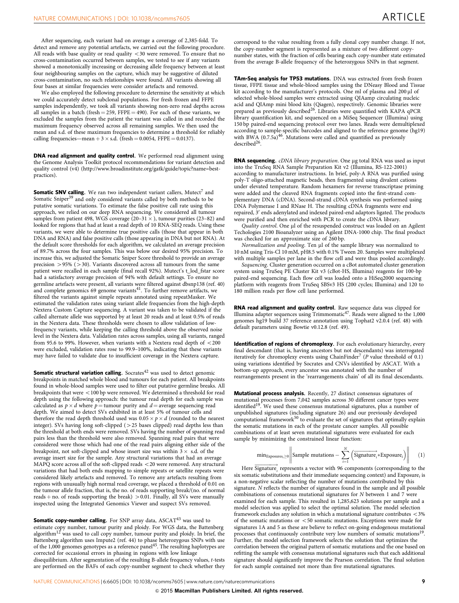After sequencing, each variant had on average a coverage of 2,385-fold. To detect and remove any potential artefacts, we carried out the following procedure. All reads with base quality or read quality  $<30$  were removed. To ensure that no cross-contamination occurred between samples, we tested to see if any variants showed a monotonically increasing or decreasing allele frequency between at least four neighbouring samples on the capture, which may be suggestive of diluted cross-contamination, no such relationships were found. All variants showing all four bases at similar frequencies were consider artefacts and removed.

We also employed the following procedure to determine the sensitivity at which we could accurately detect subclonal populations. For fresh frozen and FFPE samples independently, we took all variants showing non-zero read depths across all samples in a batch (fresh = 259, FFPE = 490). For each of these variants, we excluded the samples from the patient the variant was called in and recorded the maximum frequency observed across all remaining samples. We then used the mean and s.d. of these maximum frequencies to determine a threshold for reliably calling frequencies—mean  $+$  3  $\times$  s.d. (fresh  $=$  0.0054, FFPE  $=$  0.0137).

DNA read alignment and quality control. We performed read alignment using the Genome Analysis Toolkit protocol recommendations for variant detection and quality control (v4) ([http://www.broadinstitute.org/gatk/guide/topic?name=best](http://www.broadinstitute.org/gatk/guide/topic?name=best-practices)[practices\)](http://www.broadinstitute.org/gatk/guide/topic?name=best-practices).

Somatic SNV calling. We ran two independent variant callers, Mutect<sup>[7](#page-9-0)</sup> and Somatic Sniper<sup>[39](#page-10-0)</sup> and only considered variants called by both methods to be putative somatic variations. To estimate the false positive call rate using this approach, we relied on our deep RNA sequencing. We considered all tumour samples from patient 498, WGS coverage (20–31  $\times$  ), tumour purities (23–82) and looked for regions that had at least a read depth of 10 RNA-SEQ reads. Using these variants, we were able to determine true positive calls (those that appear in both DNA and RNA) and false positive calls (those appearing in DNA but not RNA). At the default score thresholds for each algorithm, we calculated an average precision of 89.7% across the four samples. This was below our desired 95% precision. To increase this, we adjusted the Somatic Sniper Score threshold to provide an average precision  $>$  95% ( $>$  30). Variants discovered across all tumours from the same patient were recalled in each sample (final recall 92%). Mutect's t\_lod\_fstar score had a satisfactory average precision of 94% with default settings. To ensure no germline artefacts were present, all variants were filtered against dbsnp138 [\(ref. 40](#page-10-0)) and complete genomics  $69$  genome variants $41$ . To further remove artifacts, we filtered the variants against simple repeats annotated using repeatMasker. We estimated the validation rates using variant allele frequencies from the high-depth Nextera Custom Capture sequencing. A variant was taken to be validated if the called alternate allele was supported by at least 20 reads and at least 0.5% of reads in the Nextera data. These thresholds were chosen to allow validation of lowfrequency variants, while keeping the calling threshold above the observed noise level in the Nextera data. Validation rates across samples, using all variants, ranged from 95.6 to 99%. However, when variants with a Nextera read depth of  $<$  200 were excluded, validation rates rose to 99.9–100%, indicating that these variants may have failed to validate due to insufficient coverage in the Nextera capture.

**Somatic structural variation calling.** Socrates $42$  was used to detect genomic breakpoints in matched whole blood and tumours for each patient. All breakpoints found in whole-blood samples were used to filter out putative germline breaks. All breakpoints that were  $<$  100 bp were removed. We determined a threshold for read depth using the following approach: the tumour read depth for each sample was calculated as  $p \times d$  where  $p=$  tumour purity and  $d=$  average sequencing read depth. We aimed to detect SVs exhibited in at least 5% of tumour cells and therefore the read depth threshold used was 0.05  $\times$   $p$   $\times$   $d$  (rounded to the nearest integer). SVs having long soft-clipped (425 bases clipped) read depths less than the threshold at both ends were removed. SVs having the number of spanning read pairs less than the threshold were also removed. Spanning read pairs that were considered were those which had one of the read pairs aligning either side of the breakpoint, not soft-clipped and whose insert size was within 3  $\times$  s.d. of the average insert size for the sample. Any structural variations that had an average  $MAPQ$  score across all of the soft-clipped reads  $<$  20 were removed. Any structural variations that had both ends mapping to simple repeats or satellite repeats were considered likely artefacts and removed. To remove any artefacts resulting from regions with unusually high normal read coverage, we placed a threshold of 0.01 on the tumour allele fraction, that is, the no. of reads supporting break/(no. of normal reads  $+$  no. of reads supporting the break)  $>$  0.01. Finally, all SVs were manually inspected using the Integrated Genomics Viewer and suspect SVs removed.

**Somatic copy-number calling.** For SNP array data, ASCAT<sup>43</sup> was used to estimate copy number, tumour purity and ploidy. For WGS data, the Battenberg<br>algorithm<sup>[12](#page-10-0)</sup> was used to call copy number, tumour purity and ploidy. In brief, the Battenberg algorithm uses Impute2 ([ref. 44\)](#page-10-0) to phase heterozygous SNPs with use<br>of the 1,000 genomes genotypes as a reference panel<sup>45</sup>. The resulting haplotypes are corrected for occasional errors in phasing in regions with low linkage disequilibrium. After segmentation of the resulting B-allele frequency values, t-tests are performed on the BAFs of each copy-number segment to check whether they

correspond to the value resulting from a fully clonal copy number change. If not, the copy-number segment is represented as a mixture of two different copynumber states, with the fraction of cells bearing each copy-number state estimated from the average B-allele frequency of the heterozygous SNPs in that segment.

TAm-Seq analysis for TP53 mutations. DNA was extracted from fresh frozen tissue, FFPE tissue and whole-blood samples using the DNeasy Blood and Tissue kit according to the manufacturer's protocols. One ml of plasma and 200 µl of selected whole-blood samples were extracted using QIAamp circulating nucleic acid and QIAmp mini blood kits (Qiagen), respectively. Genomic libraries were prepared as previously described<sup>26</sup>. Libraries were quantified with KAPA qPCR library quantification kit, and sequenced on a MiSeq Sequencer (Illumina) using 150 bp paired-end sequencing protocol over two lanes. Reads were demultiplexed according to sample-specific barcodes and aligned to the reference genome (hg19) with BWA  $(0.7.5a)^{46}$ . Mutations were called and quantified as previously  $described^{26}$ .

RNA sequencing. cDNA library preparation. One µg total RNA was used as input into the TruSeq RNA Sample Preparation Kit v2 (Illumina, RS-122-2001) according to manufacturer instructions. In brief, poly-A RNA was purified using poly-T oligo-attached magnetic beads, then fragmented using divalent cations under elevated temperature. Random hexamers for reverse transcriptase priming were added and the cleaved RNA fragments copied into the first-strand complementary DNA (cDNA). Second-strand cDNA synthesis was performed using DNA Polymerase I and RNase H. The resulting cDNA fragments were end repaired, 3' ends adenylated and indexed paired-end adaptors ligated. The products were purified and then enriched with PCR to create the cDNA library.

Quality control. One µl of the resuspended construct was loaded on an Agilent Techologies 2100 Bioanalyzer using an Agilent DNA-1000 chip. The final product was checked for an approximate size of 260 bp.

Normalization and pooling. Ten ul of the sample library was normalized to 10 nM using Tris-Cl 10 mM, pH8.5 with 0.1% Tween 20. Samples were multiplexed with multiple samples per lane in the flow cell and were thus pooled accordingly.

Sequencing. Cluster generation occurred on a cBot automated cluster generation system using TruSeq PE Cluster Kit v3 (cBot-HS, Illumina) reagents for 100-bp paired-end sequencing. Each flow cell was loaded onto a HiSeq2000 sequencing platform with reagents from TruSeq SBSv3 HS (200 cycles; Illumina) and 120 to 180 million reads per flow cell lane performed.

RNA read alignment and quality control. Raw sequence data was clipped for Illumina adapter sequences using Trimmomatic[47](#page-10-0). Reads were aligned to the 1,000 genomes hg19 build 37 reference annotation using Tophat2 v2.0.4 ([ref. 48\)](#page-10-0) with default parameters using Bowtie v0.12.8 ([ref. 49](#page-10-0)).

Identification of regions of chromoplexy. For each evolutionary hierarchy, every final descendant (that is, having ancestors but not descendants) was interrogated iteratively for chromoplexy events using ChainFinder<sup>[7](#page-9-0)</sup> ( $P$  value threshold of 0.1) using variations identified by Socrates and CNVs identified by ASCAT. With a bottom-up approach, every ancestor was annotated with the number of rearrangements present in the 'rearrangements chain' of all its final descendants.

Mutational process analysis. Recently, 27 distinct consensus signatures of mutational processes from 7,042 samples across 30 different cancer types were identified<sup>19</sup>. We used these consensus mutational signatures, plus a number of unpublished signatures (including signature 26) and our previously developed computational framework<sup>[50](#page-10-0)</sup> to evaluate the set of signatures that optimally explain the somatic mutations in each of the prostate cancer samples. All possible combinations of at least seven mutational signatures were evaluated for each sample by minimizing the constrained linear function:

$$
\text{min}_{\text{Exposures}_i \geq 0} \left\| \text{Sample mutations} - \sum_{i=1}^N \left( \overrightarrow{\text{Signature}}_i \ast \text{Exposure}_i \right) \right\| \qquad (1)
$$

Here  $\overrightarrow{Signature}$ , represents a vector with 96 components (corresponding to the six somatic substitutions and their immediate sequencing context) and  $Exposure<sub>i</sub>$  is a non-negative scalar reflecting the number of mutations contributed by this signature. N reflects the number of signatures found in the sample and all possible combinations of consensus mutational signatures for N between 1 and 7 were examined for each sample. This resulted in 1,285,623 solutions per sample and a model selection was applied to select the optimal solution. The model selection framework excludes any solution in which a mutational signature contributes  $<$  3% of the somatic mutations or  $<$  50 somatic mutations. Exceptions were made for signatures 1A and 5 as these are believe to reflect on-going endogenous mutational processes that continuously contribute very low numbers of somatic mutations<sup>19</sup>. Further, the model selection framework selects the solution that optimizes the correlation between the original pattern of somatic mutations and the one based on refitting the sample with consensus mutational signatures such that each additional signature should significantly improve the Pearson correlation. The final solution for each sample contained not more than five mutational signatures.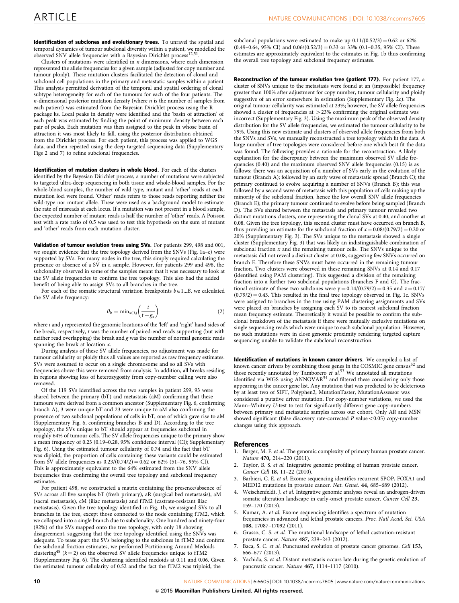<span id="page-9-0"></span>Identification of subclones and evolutionary trees. To unravel the spatial and temporal dynamics of tumour subclonal diversity within a patient, we modelled the observed SNV allele frequencies with a Bayesian Dirichlet process<sup>[12,51](#page-10-0)</sup>.

Clusters of mutations were identified in  $n$  dimensions, where each dimension represented the allele frequencies for a given sample (adjusted for copy number and tumour ploidy). These mutation clusters facilitated the detection of clonal and subclonal cell populations in the primary and metastatic samples within a patient. This analysis permitted derivation of the temporal and spatial ordering of clonal subtype heterogeneity for each of the tumours for each of the four patients. The  $n$ -dimensional posterior mutation density (where  $n$  is the number of samples from each patient) was estimated from the Bayesian Dirichlet process using the R package ks. Local peaks in density were identified and the 'basin of attraction' of each peak was estimated by finding the point of minimum density between each pair of peaks. Each mutation was then assigned to the peak in whose basin of attraction it was most likely to fall, using the posterior distribution obtained from the Dirichlet process. For each patient, this process was applied to WGS data, and then repeated using the deep targeted sequencing data (Supplementary Figs 2 and 7) to refine subclonal frequencies.

Identification of mutation clusters in whole blood. For each of the clusters identified by the Bayesian Dirichlet process, a number of mutations were subjected to targeted ultra-deep sequencing in both tissue and whole-blood samples. For the whole-blood samples, the number of wild type, mutant and 'other' reads at each mutation loci were found. 'Other' reads refers to those reads reporting neither the wild-type nor mutant allele. These were used as a background model to estimate the rate of misreads at each locus. If a mutation was not present in a blood sample, the expected number of mutant reads is half the number of 'other' reads. A Poisson test with a rate ratio of 0.5 was used to test this hypothesis on the sum of mutant and 'other' reads from each mutation cluster.

Validation of tumour evolution trees using SVs. For patients 299, 498 and 001, we sought evidence that the tree topology derived from the SNVs ([Fig. 1a–c\)](#page-1-0) were supported by SVs. For many nodes in the tree, this simply required calculating the presence or absence of a SV in a sample. However, for patients 299 and 498, the subclonality observed in some of the samples meant that it was necessary to look at the SV allele frequencies to confirm the tree topology. This also had the added benefit of being able to assign SVs to all branches in the tree.

For each of the somatic structural variation breakpoints  $b \in 1...B$ , we calculated the SV allele frequency:

$$
\theta_b = \min_{x \in i,j} \left( \frac{t}{t + g_x} \right) \tag{2}
$$

where *i* and *j* represented the genomic locations of the 'left' and 'right' hand sides of the break, respectively, t was the number of paired-end reads supporting (but with neither read overlapping) the break and g was the number of normal genomic reads spanning the break at location x.

During analysis of these SV allele frequencies, no adjustment was made for tumour cellularity or ploidy thus all values are reported as raw frequency estimates. SVs were assumed to occur on a single chromosome and so all SVs with frequencies above this were removed from analysis. In addition, all breaks residing in regions showing loss of heterozygosity from copy-number calling were also removed.

Of the 119 SVs identified across the two samples in patient 299, 93 were shared between the primary (bT) and metastasis (aM) confirming that these tumours were derived from a common ancestor (Supplementary Fig. 6, confirming branch A), 3 were unique bT and 23 were unique to aM also confirming the presence of two subclonal populations of cells in bT, one of which gave rise to aM (Supplementary Fig. 6, confirming branches B and D). According to the tree topology, the SVs unique to bT should appear at frequencies subclonal in roughly 64% of tumour cells. The SV allele frequencies unique to the primary show a mean frequency of 0.23 (0.19–0.28, 95% confidence interval (CI); Supplementary Fig. 6). Using the estimated tumour cellularity of 0.74 and the fact that bT was diploid, the proportion of cells containing these variants could be estimated from SV allele frequencies as  $0.23/(0.74/2) = 0.62$  or 62% (51-76, 95% CI). This is approximately equivalent to the 64% estimated from the SNV allele frequencies thus confirming the overall tree topology and subclonal frequency estimates.

For patient 498, we constructed a matrix containing the presence/absence of SVs across all five samples bT (fresh primary), aR (surgical bed metastasis), aM (sacral metastasis), cM (iliac metastasis) and fTM2 (castrate-resistant iliac metastasis). Given the tree topology identified in [Fig. 1b](#page-1-0), we assigned SVs to all branches in the tree, except those connected to the node containing fTM2, which we collapsed into a single branch due to subclonality. One hundred and ninety-four (92%) of the SVs mapped onto the tree topology, with only 18 showing disagreement, suggesting that the tree topology identified using the SNVs was adequate. To tease apart the SVs belonging to the subclones in fTM2 and confirm the subclonal fraction estimates, we performed Partitioning Around Medoids clustering<sup>[48](#page-10-0)</sup> ( $k = 2$ ) on the observed SV allele frequencies unique to fTM2 (Supplementary Fig. 6). The clustering identified medoids at 0.11 and 0.06. Given the estimated tumour cellularity of 0.52 and the fact the fTM2 was triploid, the

subclonal populations were estimated to make up  $0.11/(0.52/3) = 0.62$  or 62%  $(0.49-0.64, 95\% \text{ CI})$  and  $0.06/(0.52/3) = 0.33$  or 33% (0.1-0.35, 95% CI). These estimates are approximately equivalent to the estimates in [Fig. 1b](#page-1-0) thus confirming the overall tree topology and subclonal frequency estimates.

Reconstruction of the tumour evolution tree (patient 177). For patient 177, a cluster of SNVs unique to the metastasis were found at an (impossible) frequency greater than 100% after adjustment for copy number, tumour cellularity and ploidy suggestive of an error somewhere in estimation (Supplementary Fig. 2c). The original tumour cellularity was estimated at 23%; however, the SV allele frequencies showed a cluster of frequencies at  $>$  23% confirming the original estimate was incorrect (Supplementary Fig. 3). Using the maximum peak of the observed density distribution for the SV allele frequencies, we estimated the tumour cellularity to be 79%. Using this new estimate and clusters of observed allele frequencies from both the SNVs and SVs, we manually reconstructed a tree topology which fit the data. A large number of tree topologies were considered before one which best fit the data was found. The following provides a rationale for the reconstruction. A likely explanation for the discrepancy between the maximum observed SV allele frequencies (0.40) and the maximum observed SNV allele frequencies (0.15) is as follows: there was an acquisition of a number of SVs early in the evolution of the tumour (Branch A); followed by an early wave of metastatic spread (Branch C); the primary continued to evolve acquiring a number of SNVs (Branch B); this was followed by a second wave of metastasis with this population of cells making up the minority of the subclonal fraction, hence the low overall SNV allele frequencies (Branch E); the primary tumour continued to evolve before being sampled (Branch D). The SVs shared between the metastasis and primary tumour revealed two distinct mutations clusters, one representing the clonal SVs at 0.40, and another at 0.08. Given the tree topology, this second cluster must have occurred on branch B, thus providing an estimate for the subclonal fraction of  $x = 0.08/(0.79/2) = 0.20$  or 20% (Supplementary Fig. 3). The SVs unique to the metastasis showed a single cluster (Supplementary Fig. 3) that was likely an indistinguishable combination of subclonal fraction  $x$  and the remaining tumour cells. The SNVs unique to the metastasis did not reveal a distinct cluster at 0.08, suggesting few SNVs occurred on branch E. Therefore these SNVs must have occurred in the remaining tumour fraction. Two clusters were observed in these remaining SNVs at 0.14 and 0.17 (identified using PAM clustering). This suggested a division of the remaining fraction into a further two subclonal populations (branches F and G). The fractional estimate of these two subclones were  $y = 0.14/(0.79/2) = 0.35$  and  $z = 0.17/$  $(0.79/2) = 0.43$ . This resulted in the final tree topology observed in [Fig. 1c.](#page-1-0) SNVs were assigned to branches in the tree using PAM clustering assignments and SVs were placed on branches by assigning each SV to its nearest subclonal fraction mean frequency estimate. Theoretically it would be possible to confirm the subclonal breakdown of the metastasis if there were mutually exclusive mutations on single sequencing reads which were unique to each subclonal population. However, no such mutations were in close genomic proximity rendering targeted capture sequencing unable to validate the subclonal reconstruction.

Identification of mutations in known cancer drivers. We compiled a list of known cancer drivers by combining those genes in the COSMIC gene census<sup>[52](#page-10-0)</sup> and those recently annotated by Tamborero et al.<sup>[53](#page-10-0)</sup> We annotated all mutations identified via WGS using ANNOVAR<sup>[54](#page-10-0)</sup> and filtered these considering only those appearing in the cancer gene list. Any mutation that was predicted to be deleterious by at least two of SIFT, Polyphen2, MutationTaster, MutationAssessor was considered a putative driver mutation. For copy-number variations, we used the Mann–Whitney U-test to test for significantly different gene copy-numbers between primary and metastatic samples across our cohort. Only AR and MSN showed significant (false discovery rate-corrected  $P$  value < 0.05) copy-number changes using this approach.

#### **References**

- 1. Berger, M. F. et al. The genomic complexity of primary human prostate cancer. Nature 470, 214–220 (2011).
- Taylor, B. S. et al. Integrative genomic profiling of human prostate cancer. Cancer Cell 18, 11–22 (2010).
- Barbieri, C. E. et al. Exome sequencing identifies recurrent SPOP, FOXA1 and MED12 mutations in prostate cancer. Nat. Genet. 44, 685–689 (2012).
- 4. Weischenfeldt, J. et al. Integrative genomic analyses reveal an androgen-driven somatic alteration landscape in early-onset prostate cancer. Cancer Cell 23, 159–170 (2013).
- 5. Kumar, A. et al. Exome sequencing identifies a spectrum of mutation frequencies in advanced and lethal prostate cancers. Proc. Natl Acad. Sci. USA 108, 17087–17092 (2011).
- 6. Grasso, C. S. et al. The mutational landscape of lethal castration-resistant prostate cancer. Nature 487, 239–243 (2012).
- Baca, S. C. et al. Punctuated evolution of prostate cancer genomes. Cell 153, 666–677 (2013).
- 8. Yachida, S. et al. Distant metastasis occurs late during the genetic evolution of pancreatic cancer. Nature 467, 1114–1117 (2010).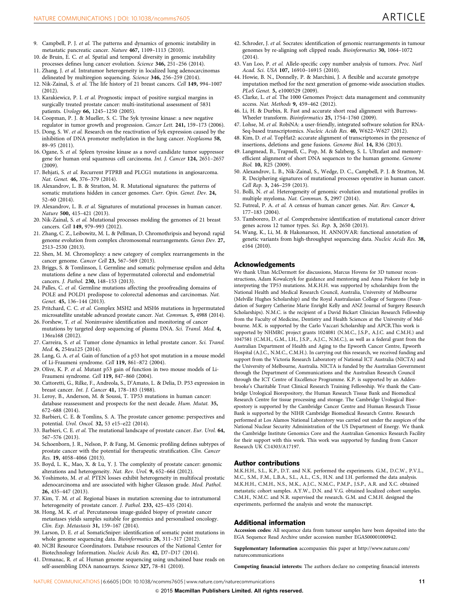- <span id="page-10-0"></span>9. Campbell, P. J. et al. The patterns and dynamics of genomic instability in metastatic pancreatic cancer. Nature 467, 1109–1113 (2010).
- 10. de Bruin, E. C. et al. Spatial and temporal diversity in genomic instability processes defines lung cancer evolution. Science 346, 251-256 (2014).
- 11. Zhang, J. et al. Intratumor heterogeneity in localized lung adenocarcinomas delineated by multiregion sequencing. Science 346, 256–259 (2014).
- 12. Nik-Zainal, S. et al. The life history of 21 breast cancers. Cell 149, 994–1007  $(2012)$
- 13. Karakiewicz, P. I. et al. Prognostic impact of positive surgical margins in surgically treated prostate cancer: multi-institutional assessment of 5831 patients. Urology 66, 1245–1250 (2005).
- 14. Coopman, P. J. & Mueller, S. C. The Syk tyrosine kinase: a new negative regulator in tumor growth and progression. Cancer Lett. 241, 159–173 (2006).
- 15. Dong, S. W. et al. Research on the reactivation of Syk expression caused by the inhibition of DNA promoter methylation in the lung cancer. Neoplasma 58, 89–95 (2011).
- 16. Ogane, S. et al. Spleen tyrosine kinase as a novel candidate tumor suppressor gene for human oral squamous cell carcinoma. Int. J. Cancer 124, 2651–2657  $(2009)$
- 17. Behjati, S. et al. Recurrent PTPRB and PLCG1 mutations in angiosarcoma. Nat. Genet. 46, 376–379 (2014).
- 18. Alexandrov, L. B. & Stratton, M. R. Mutational signatures: the patterns of somatic mutations hidden in cancer genomes. Curr. Opin. Genet. Dev. 24, 52–60 (2014).
- 19. Alexandrov, L. B. et al. Signatures of mutational processes in human cancer. Nature 500, 415–421 (2013).
- 20. Nik-Zainal, S. et al. Mutational processes molding the genomes of 21 breast cancers. Cell 149, 979–993 (2012).
- 21. Zhang, C. Z., Leibowitz, M. L. & Pellman, D. Chromothripsis and beyond: rapid genome evolution from complex chromosomal rearrangements. Genes Dev. 27, 2513–2530 (2013).
- 22. Shen, M. M. Chromoplexy: a new category of complex rearrangements in the cancer genome. Cancer Cell 23, 567–569 (2013).
- 23. Briggs, S. & Tomlinson, I. Germline and somatic polymerase epsilon and delta mutations define a new class of hypermutated colorectal and endometrial cancers. J. Pathol. 230, 148–153 (2013).
- 24. Palles, C. et al. Germline mutations affecting the proofreading domains of POLE and POLD1 predispose to colorectal adenomas and carcinomas. Nat. Genet. 45, 136-144 (2013).
- 25. Pritchard, C. C. et al. Complex MSH2 and MSH6 mutations in hypermutated microsatellite unstable advanced prostate cancer. Nat. Commun. 5, 4988 (2014).
- 26. Forshew, T. et al. Noninvasive identification and monitoring of cancer mutations by targeted deep sequencing of plasma DNA. Sci. Transl. Med. 4, 136ra168 (2012).
- 27. Carreira, S. et al. Tumor clone dynamics in lethal prostate cancer. Sci. Transl. Med. 6, 254ra125 (2014).
- 28. Lang, G. A. et al. Gain of function of a p53 hot spot mutation in a mouse model of Li-Fraumeni syndrome. Cell 119, 861–872 (2004).
- 29. Olive, K. P. et al. Mutant p53 gain of function in two mouse models of Li-Fraumeni syndrome. Cell 119, 847–860 (2004).
- 30. Cattoretti, G., Rilke, F., Andreola, S., D'Amato, L. & Delia, D. P53 expression in breast cancer. Int. J. Cancer 41, 178–183 (1988).
- 31. Leroy, B., Anderson, M. & Soussi, T. TP53 mutations in human cancer: database reassessment and prospects for the next decade. Hum. Mutat. 35, 672–688 (2014).
- 32. Barbieri, C. E. & Tomlins, S. A. The prostate cancer genome: perspectives and potential. Urol. Oncol. 32, 53 e15–e22 (2014).
- 33. Barbieri, C. E. et al. The mutational landscape of prostate cancer. Eur. Urol. 64, 567–576 (2013).
- 34. Schoenborn, J. R., Nelson, P. & Fang, M. Genomic profiling defines subtypes of prostate cancer with the potential for therapeutic stratification. Clin. Cancer Res. 19, 4058–4066 (2013).
- 35. Boyd, L. K., Mao, X. & Lu, Y. J. The complexity of prostate cancer: genomic alterations and heterogeneity. Nat. Rev. Urol. 9, 652–664 (2012).
- 36. Yoshimoto, M. et al. PTEN losses exhibit heterogeneity in multifocal prostatic adenocarcinoma and are associated with higher Gleason grade. Mod. Pathol. 26, 435–447 (2013).
- 37. Kim, T. M. et al. Regional biases in mutation screening due to intratumoral heterogeneity of prostate cancer. J. Pathol. 233, 425–435 (2014).
- 38. Hong, M. K. et al. Percutaneous image-guided biopsy of prostate cancer metastases yields samples suitable for genomics and personalised oncology. Clin. Exp. Metastasis 31, 159–167 (2014).
- 39. Larson, D. E. et al. SomaticSniper: identification of somatic point mutations in whole genome sequencing data. Bioinformatics 28, 311–317 (2012).
- 40. NCBI Resource Coordinators. Database resources of the National Center for Biotechnology Information. Nucleic Acids Res. 42, D7–D17 (2014).
- 41. Drmanac, R. et al. Human genome sequencing using unchained base reads on self-assembling DNA nanoarrays. Science 327, 78–81 (2010).
- 42. Schroder, J. et al. Socrates: identification of genomic rearrangements in tumour genomes by re-aligning soft clipped reads. Bioinformatics 30, 1064–1072  $(2014)$ .
- 43. Van Loo, P. et al. Allele-specific copy number analysis of tumors. Proc. Natl Acad. Sci. USA 107, 16910–16915 (2010).
- 44. Howie, B. N., Donnelly, P. & Marchini, J. A flexible and accurate genotype imputation method for the next generation of genome-wide association studies. PLoS Genet. 5, e1000529 (2009).
- 45. Clarke, L. et al. The 1000 Genomes Project: data management and community access. Nat. Methods 9, 459–462 (2012).
- 46. Li, H. & Durbin, R. Fast and accurate short read alignment with Burrows-Wheeler transform. Bioinformatics 25, 1754–1760 (2009).
- 47. Lohse, M. et al. RobiNA: a user-friendly, integrated software solution for RNA-Seq-based transcriptomics. Nucleic Acids Res. 40, W622–W627 (2012).
- 48. Kim, D. et al. TopHat2: accurate alignment of transcriptomes in the presence of insertions, deletions and gene fusions. Genome Biol. 14, R36 (2013).
- 49. Langmead, B., Trapnell, C., Pop, M. & Salzberg, S. L. Ultrafast and memoryefficient alignment of short DNA sequences to the human genome. Genome Biol. 10, R25 (2009).
- 50. Alexandrov, L. B., Nik-Zainal, S., Wedge, D. C., Campbell, P. J. & Stratton, M. R. Deciphering signatures of mutational processes operative in human cancer. Cell Rep. 3, 246–259 (2013).
- 51. Bolli, N. et al. Heterogeneity of genomic evolution and mutational profiles in multiple myeloma. Nat. Commun. 5, 2997 (2014).
- 52. Futreal, P. A. et al. A census of human cancer genes. Nat. Rev. Cancer 4, 177–183 (2004).
- 53. Tamborero, D. et al. Comprehensive identification of mutational cancer driver genes across 12 tumor types. Sci. Rep. 3, 2650 (2013).
- 54. Wang, K., Li, M. & Hakonarson, H. ANNOVAR: functional annotation of genetic variants from high-throughput sequencing data. Nucleic Acids Res. 38, e164 (2010).

#### Acknowledgements

We thank Ultan McDermott for discussions, Marcus Hovens for 3D tumour reconstructions, Adam Kowalczyk for guidance and mentoring and Anna Piskorz for help in interpreting the TP53 mutations. M.K.H.H. was supported by scholarships from the National Health and Medical Research Council, Australia, University of Melbourne (Melville Hughes Scholarship) and the Royal Australasian College of Surgeons (Foundation of Surgery Catherine Marie Enright Kelly and ANZ Journal of Surgery Research Scholarships). N.M.C. is the recipient of a David Bickart Clinician Research Fellowship from the Faculty of Medicine, Dentistry and Health Sciences at the University of Melbourne. M.K. is supported by the Carlo Vaccari Scholarship and APCR.This work is supported by NHMRC project grants 1024081 (N.M.C., J.S.P., A.J.C. and C.M.H.) and 1047581 (C.M.H., G.M., I.H., J.S.P., A.J.C., N.M.C.), as well as a federal grant from the Australian Department of Health and Aging to the Epworth Cancer Centre, Epworth Hospital (A.J.C., N.M.C., C.M.H.). In carrying out this research, we received funding and support from the Victoria Research Laboratory of National ICT Australia (NICTA) and the University of Melbourne, Australia. NICTA is funded by the Australian Government through the Department of Communications and the Australian Research Council through the ICT Centre of Excellence Programme. K.P. is supported by an Addenbrooke's Charitable Trust Clinical Research Training Fellowship. We thank the Cambridge Urological Biorepository, the Human Research Tissue Bank and Biomedical Research Centre for tissue processing and storage. The Cambridge Urological Biorepostory is supported by the Cambridge Cancer Centre and Human Research Tissue Bank is supported by the NIHR Cambridge Biomedical Research Centre. Research performed at Los Alamos National Laboratory was carried out under the auspices of the National Nuclear Security Administration of the US Department of Energy. We thank the Cambridge Institute Genomics Core and the Australian Genomics Research Facility for their support with this work. This work was supported by funding from Cancer Research UK C14303/A17197.

### Author contributions

M.K.H.H., S.L., K.P., D.T. and N.K. performed the experiments. G.M., D.C.W., P.V.L., M.C., S.M., F.M., L.B.A., S.L., A.L., C.S., H.N. and I.H. performed the data analysis. M.K.H.H., C.M.H., N.S., M.K., A.J.C., N.M.C., P.M.P., J.S.P., A.R. and X.C. obtained metastatic cohort samples. A.Y.W., D.N. and V.G. obtained localized cohort samples. C.M.H., N.M.C. and N.R. supervised the research. G.M. and C.M.H. designed the experiments, performed the analysis and wrote the manuscript.

#### Additional information

Accession codes: All sequence data from tumour samples have been deposited into the EGA Sequence Read Archive under accession number EGAS00001000942.

Supplementary Information accompanies this paper at [http://www.nature.com/](http://www.nature.com/naturecommunications) [naturecommunications](http://www.nature.com/naturecommunications)

Competing financial interests: The authors declare no competing financial interests